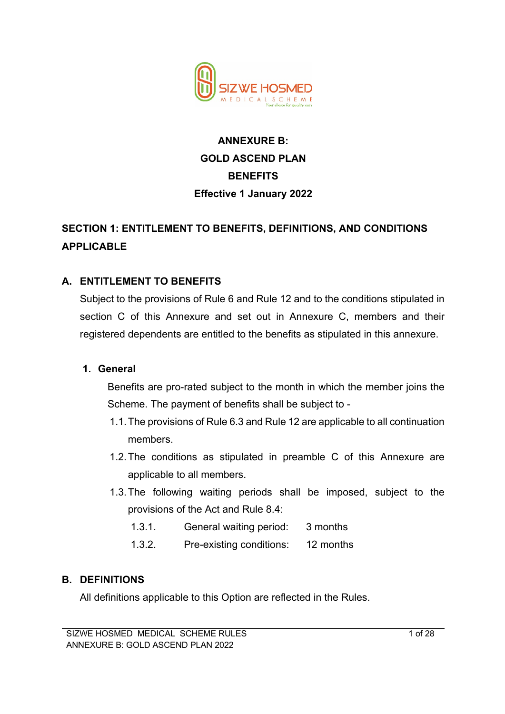

# **ANNEXURE B: GOLD ASCEND PLAN BENEFITS Effective 1 January 2022**

# **SECTION 1: ENTITLEMENT TO BENEFITS, DEFINITIONS, AND CONDITIONS APPLICABLE**

## **A. ENTITLEMENT TO BENEFITS**

Subject to the provisions of Rule 6 and Rule 12 and to the conditions stipulated in section C of this Annexure and set out in Annexure C, members and their registered dependents are entitled to the benefits as stipulated in this annexure.

#### **1. General**

Benefits are pro-rated subject to the month in which the member joins the Scheme. The payment of benefits shall be subject to -

- 1.1.The provisions of Rule 6.3 and Rule 12 are applicable to all continuation members.
- 1.2.The conditions as stipulated in preamble C of this Annexure are applicable to all members.
- 1.3.The following waiting periods shall be imposed, subject to the provisions of the Act and Rule 8.4:
	- 1.3.1. General waiting period: 3 months
	- 1.3.2. Pre-existing conditions: 12 months

#### **B. DEFINITIONS**

All definitions applicable to this Option are reflected in the Rules.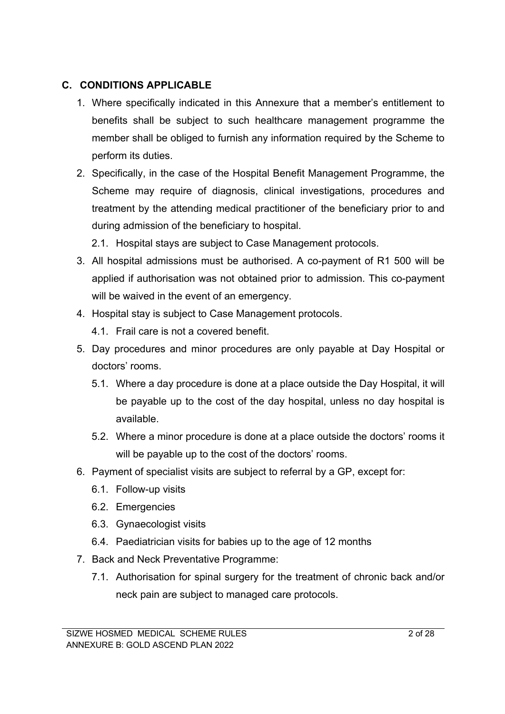## **C. CONDITIONS APPLICABLE**

- 1. Where specifically indicated in this Annexure that a member's entitlement to benefits shall be subject to such healthcare management programme the member shall be obliged to furnish any information required by the Scheme to perform its duties.
- 2. Specifically, in the case of the Hospital Benefit Management Programme, the Scheme may require of diagnosis, clinical investigations, procedures and treatment by the attending medical practitioner of the beneficiary prior to and during admission of the beneficiary to hospital.
	- 2.1. Hospital stays are subject to Case Management protocols.
- 3. All hospital admissions must be authorised. A co-payment of R1 500 will be applied if authorisation was not obtained prior to admission. This co-payment will be waived in the event of an emergency.
- 4. Hospital stay is subject to Case Management protocols.
	- 4.1. Frail care is not a covered benefit.
- 5. Day procedures and minor procedures are only payable at Day Hospital or doctors' rooms.
	- 5.1. Where a day procedure is done at a place outside the Day Hospital, it will be payable up to the cost of the day hospital, unless no day hospital is available.
	- 5.2. Where a minor procedure is done at a place outside the doctors' rooms it will be payable up to the cost of the doctors' rooms.
- 6. Payment of specialist visits are subject to referral by a GP, except for:
	- 6.1. Follow-up visits
	- 6.2. Emergencies
	- 6.3. Gynaecologist visits
	- 6.4. Paediatrician visits for babies up to the age of 12 months
- 7. Back and Neck Preventative Programme:
	- 7.1. Authorisation for spinal surgery for the treatment of chronic back and/or neck pain are subject to managed care protocols.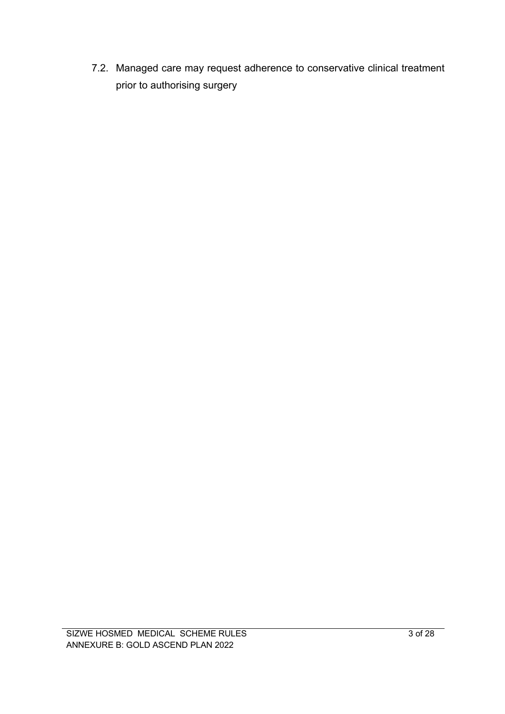7.2. Managed care may request adherence to conservative clinical treatment prior to authorising surgery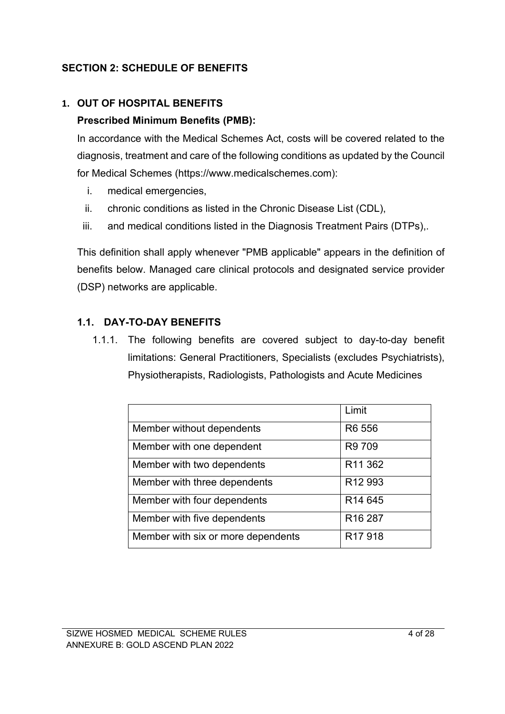## **SECTION 2: SCHEDULE OF BENEFITS**

## **1. OUT OF HOSPITAL BENEFITS**

## **Prescribed Minimum Benefits (PMB):**

In accordance with the Medical Schemes Act, costs will be covered related to the diagnosis, treatment and care of the following conditions as updated by the Council for Medical Schemes (https://www.medicalschemes.com):

- i. medical emergencies,
- ii. chronic conditions as listed in the Chronic Disease List (CDL),
- iii. and medical conditions listed in the Diagnosis Treatment Pairs (DTPs),.

This definition shall apply whenever "PMB applicable" appears in the definition of benefits below. Managed care clinical protocols and designated service provider (DSP) networks are applicable.

## **1.1. DAY-TO-DAY BENEFITS**

1.1.1. The following benefits are covered subject to day-to-day benefit limitations: General Practitioners, Specialists (excludes Psychiatrists), Physiotherapists, Radiologists, Pathologists and Acute Medicines

|                                    | Limit                          |
|------------------------------------|--------------------------------|
| Member without dependents          | R <sub>6</sub> 55 <sub>6</sub> |
| Member with one dependent          | R9 709                         |
| Member with two dependents         | R <sub>11</sub> 362            |
| Member with three dependents       | R <sub>12</sub> 993            |
| Member with four dependents        | R <sub>14</sub> 645            |
| Member with five dependents        | R <sub>16</sub> 287            |
| Member with six or more dependents | R <sub>17</sub> 918            |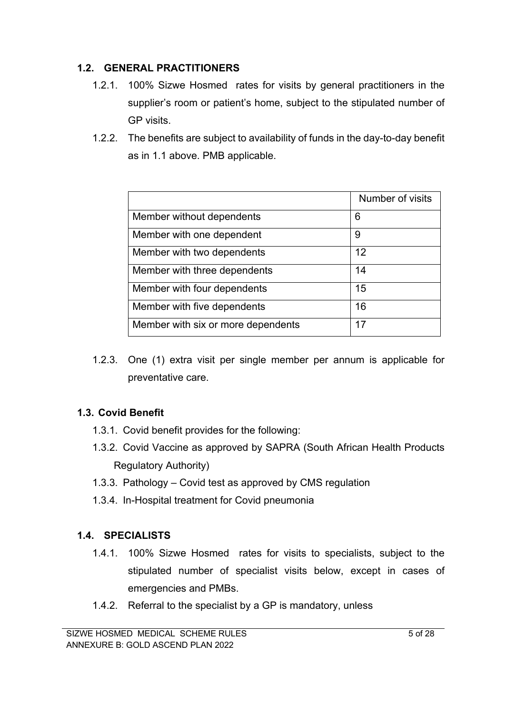## **1.2. GENERAL PRACTITIONERS**

- 1.2.1. 100% Sizwe Hosmed rates for visits by general practitioners in the supplier's room or patient's home, subject to the stipulated number of GP visits.
- 1.2.2. The benefits are subject to availability of funds in the day-to-day benefit as in 1.1 above. PMB applicable.

|                                    | Number of visits |
|------------------------------------|------------------|
| Member without dependents          | 6                |
| Member with one dependent          | 9                |
| Member with two dependents         | 12               |
| Member with three dependents       | 14               |
| Member with four dependents        | 15               |
| Member with five dependents        | 16               |
| Member with six or more dependents | 17               |

1.2.3. One (1) extra visit per single member per annum is applicable for preventative care.

## **1.3. Covid Benefit**

- 1.3.1. Covid benefit provides for the following:
- 1.3.2. Covid Vaccine as approved by SAPRA (South African Health Products Regulatory Authority)
- 1.3.3. Pathology Covid test as approved by CMS regulation
- 1.3.4. In-Hospital treatment for Covid pneumonia

## **1.4. SPECIALISTS**

- 1.4.1. 100% Sizwe Hosmed rates for visits to specialists, subject to the stipulated number of specialist visits below, except in cases of emergencies and PMBs.
- 1.4.2. Referral to the specialist by a GP is mandatory, unless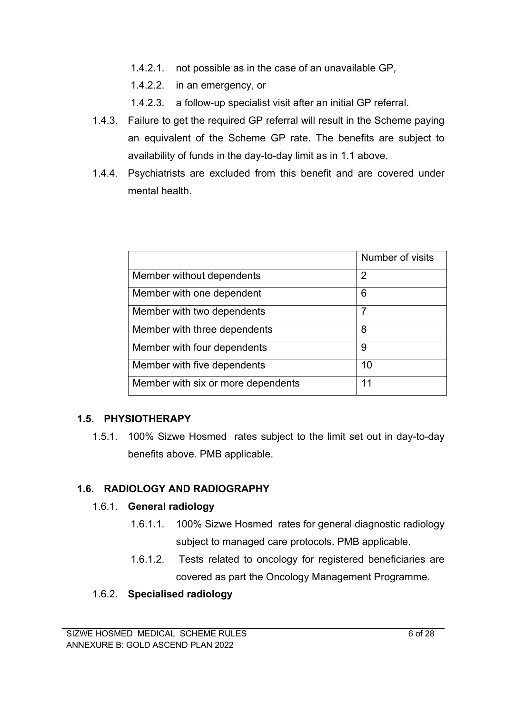- 1.4.2.1. not possible as in the case of an unavailable GP,
- 1.4.2.2. in an emergency, or
- 1.4.2.3. a follow-up specialist visit after an initial GP referral.
- 1.4.3. Failure to get the required GP referral will result in the Scheme paying an equivalent of the Scheme GP rate. The benefits are subject to availability of funds in the day-to-day limit as in 1.1 above.
- 1.4.4. Psychiatrists are excluded from this benefit and are covered under mental health.

|                                    | Number of visits |
|------------------------------------|------------------|
| Member without dependents          | 2                |
| Member with one dependent          | 6                |
| Member with two dependents         | 7                |
| Member with three dependents       | 8                |
| Member with four dependents        | 9                |
| Member with five dependents        | 10               |
| Member with six or more dependents | 11               |

## **1.5. PHYSIOTHERAPY**

1.5.1. 100% Sizwe Hosmed rates subject to the limit set out in day-to-day benefits above. PMB applicable.

## **1.6. RADIOLOGY AND RADIOGRAPHY**

#### 1.6.1. **General radiology**

- 1.6.1.1. 100% Sizwe Hosmed rates for general diagnostic radiology subject to managed care protocols. PMB applicable.
- 1.6.1.2. Tests related to oncology for registered beneficiaries are covered as part the Oncology Management Programme.

#### 1.6.2. **Specialised radiology**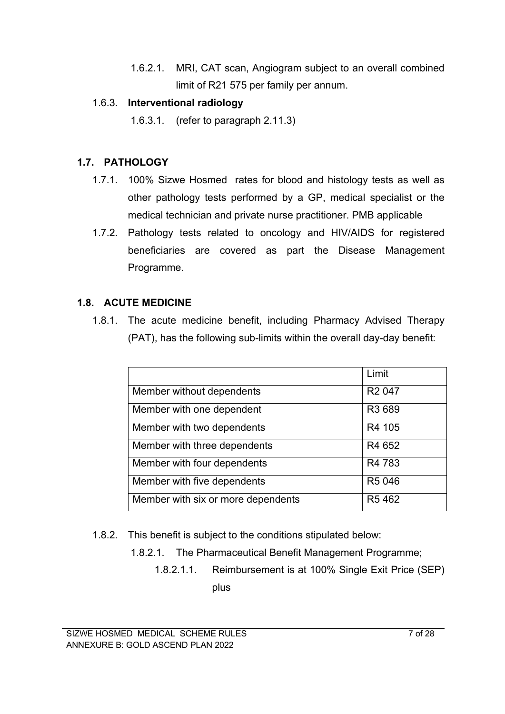1.6.2.1. MRI, CAT scan, Angiogram subject to an overall combined limit of R21 575 per family per annum.

## 1.6.3. **Interventional radiology**

1.6.3.1. (refer to paragraph 2.11.3)

## **1.7. PATHOLOGY**

- 1.7.1. 100% Sizwe Hosmed rates for blood and histology tests as well as other pathology tests performed by a GP, medical specialist or the medical technician and private nurse practitioner. PMB applicable
- 1.7.2. Pathology tests related to oncology and HIV/AIDS for registered beneficiaries are covered as part the Disease Management Programme.

## **1.8. ACUTE MEDICINE**

1.8.1. The acute medicine benefit, including Pharmacy Advised Therapy (PAT), has the following sub-limits within the overall day-day benefit:

|                                    | Limit              |
|------------------------------------|--------------------|
| Member without dependents          | R <sub>2</sub> 047 |
| Member with one dependent          | R3 689             |
| Member with two dependents         | R4 105             |
| Member with three dependents       | R4 652             |
| Member with four dependents        | R4 783             |
| Member with five dependents        | R5 046             |
| Member with six or more dependents | R <sub>5</sub> 462 |

- 1.8.2. This benefit is subject to the conditions stipulated below:
	- 1.8.2.1. The Pharmaceutical Benefit Management Programme;
		- 1.8.2.1.1. Reimbursement is at 100% Single Exit Price (SEP) plus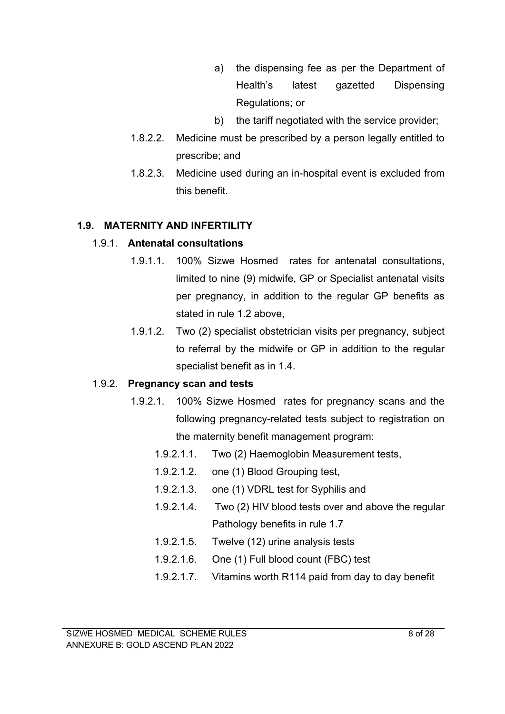- a) the dispensing fee as per the Department of Health's latest gazetted Dispensing Regulations; or
- b) the tariff negotiated with the service provider;
- 1.8.2.2. Medicine must be prescribed by a person legally entitled to prescribe; and
- 1.8.2.3. Medicine used during an in-hospital event is excluded from this benefit.

#### **1.9. MATERNITY AND INFERTILITY**

#### 1.9.1. **Antenatal consultations**

- 1.9.1.1. 100% Sizwe Hosmed rates for antenatal consultations, limited to nine (9) midwife, GP or Specialist antenatal visits per pregnancy, in addition to the regular GP benefits as stated in rule 1.2 above,
- 1.9.1.2. Two (2) specialist obstetrician visits per pregnancy, subject to referral by the midwife or GP in addition to the regular specialist benefit as in 1.4.

#### 1.9.2. **Pregnancy scan and tests**

- 1.9.2.1. 100% Sizwe Hosmed rates for pregnancy scans and the following pregnancy-related tests subject to registration on the maternity benefit management program:
	- 1.9.2.1.1. Two (2) Haemoglobin Measurement tests,
	- 1.9.2.1.2. one (1) Blood Grouping test,
	- 1.9.2.1.3. one (1) VDRL test for Syphilis and
	- 1.9.2.1.4. Two (2) HIV blood tests over and above the regular Pathology benefits in rule 1.7
	- 1.9.2.1.5. Twelve (12) urine analysis tests
	- 1.9.2.1.6. One (1) Full blood count (FBC) test
	- 1.9.2.1.7. Vitamins worth R114 paid from day to day benefit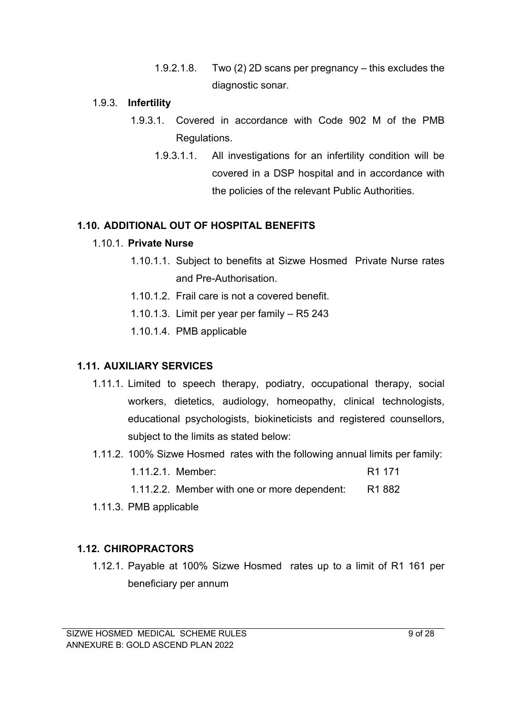1.9.2.1.8. Two (2) 2D scans per pregnancy – this excludes the diagnostic sonar.

#### 1.9.3. **Infertility**

- 1.9.3.1. Covered in accordance with Code 902 M of the PMB Regulations.
	- 1.9.3.1.1. All investigations for an infertility condition will be covered in a DSP hospital and in accordance with the policies of the relevant Public Authorities.

#### **1.10. ADDITIONAL OUT OF HOSPITAL BENEFITS**

#### 1.10.1. **Private Nurse**

- 1.10.1.1. Subject to benefits at Sizwe Hosmed Private Nurse rates and Pre-Authorisation.
- 1.10.1.2. Frail care is not a covered benefit.
- 1.10.1.3. Limit per year per family R5 243
- 1.10.1.4. PMB applicable

#### **1.11. AUXILIARY SERVICES**

- 1.11.1. Limited to speech therapy, podiatry, occupational therapy, social workers, dietetics, audiology, homeopathy, clinical technologists, educational psychologists, biokineticists and registered counsellors, subject to the limits as stated below:
- 1.11.2. 100% Sizwe Hosmed rates with the following annual limits per family:
	- 1.11.2.1. Member: R1 171
	- 1.11.2.2. Member with one or more dependent: R1 882
- 1.11.3. PMB applicable

#### **1.12. CHIROPRACTORS**

1.12.1. Payable at 100% Sizwe Hosmed rates up to a limit of R1 161 per beneficiary per annum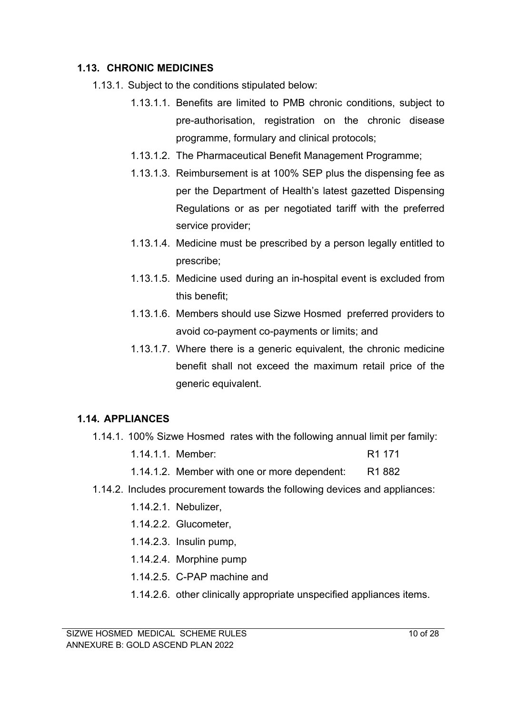#### **1.13. CHRONIC MEDICINES**

- 1.13.1. Subject to the conditions stipulated below:
	- 1.13.1.1. Benefits are limited to PMB chronic conditions, subject to pre-authorisation, registration on the chronic disease programme, formulary and clinical protocols;
	- 1.13.1.2. The Pharmaceutical Benefit Management Programme;
	- 1.13.1.3. Reimbursement is at 100% SEP plus the dispensing fee as per the Department of Health's latest gazetted Dispensing Regulations or as per negotiated tariff with the preferred service provider;
	- 1.13.1.4. Medicine must be prescribed by a person legally entitled to prescribe;
	- 1.13.1.5. Medicine used during an in-hospital event is excluded from this benefit;
	- 1.13.1.6. Members should use Sizwe Hosmed preferred providers to avoid co-payment co-payments or limits; and
	- 1.13.1.7. Where there is a generic equivalent, the chronic medicine benefit shall not exceed the maximum retail price of the generic equivalent.

#### **1.14. APPLIANCES**

- 1.14.1. 100% Sizwe Hosmed rates with the following annual limit per family:
	- 1.14.1.1. Member: R1 171
	- 1.14.1.2. Member with one or more dependent: R1 882
- 1.14.2. Includes procurement towards the following devices and appliances:
	- 1.14.2.1. Nebulizer,
	- 1.14.2.2. Glucometer,
	- 1.14.2.3. Insulin pump,
	- 1.14.2.4. Morphine pump
	- 1.14.2.5. C-PAP machine and
	- 1.14.2.6. other clinically appropriate unspecified appliances items.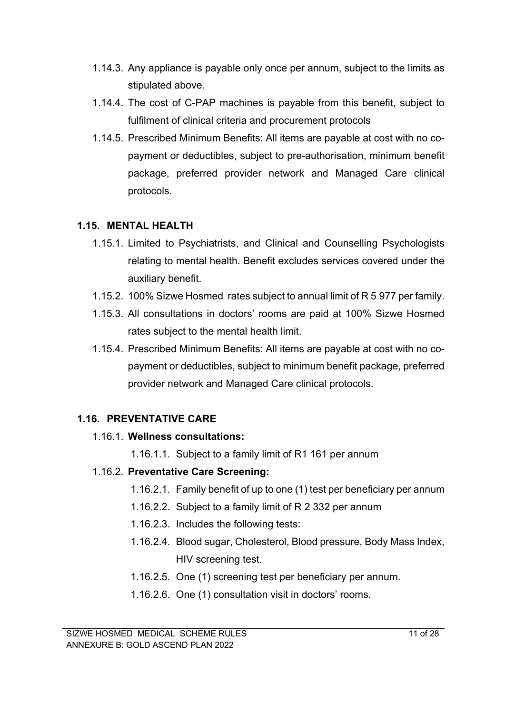- 1.14.3. Any appliance is payable only once per annum, subject to the limits as stipulated above.
- 1.14.4. The cost of C-PAP machines is payable from this benefit, subject to fulfilment of clinical criteria and procurement protocols
- 1.14.5. Prescribed Minimum Benefits: All items are payable at cost with no copayment or deductibles, subject to pre-authorisation, minimum benefit package, preferred provider network and Managed Care clinical protocols.

## **1.15. MENTAL HEALTH**

- 1.15.1. Limited to Psychiatrists, and Clinical and Counselling Psychologists relating to mental health. Benefit excludes services covered under the auxiliary benefit.
- 1.15.2. 100% Sizwe Hosmed rates subject to annual limit of R 5 977 per family.
- 1.15.3. All consultations in doctors' rooms are paid at 100% Sizwe Hosmed rates subject to the mental health limit.
- 1.15.4. Prescribed Minimum Benefits: All items are payable at cost with no copayment or deductibles, subject to minimum benefit package, preferred provider network and Managed Care clinical protocols.

## **1.16. PREVENTATIVE CARE**

## 1.16.1. **Wellness consultations:**

1.16.1.1. Subject to a family limit of R1 161 per annum

## 1.16.2. **Preventative Care Screening:**

- 1.16.2.1. Family benefit of up to one (1) test per beneficiary per annum
- 1.16.2.2. Subject to a family limit of R 2 332 per annum
- 1.16.2.3. Includes the following tests:
- 1.16.2.4. Blood sugar, Cholesterol, Blood pressure, Body Mass Index, HIV screening test.
- 1.16.2.5. One (1) screening test per beneficiary per annum.
- 1.16.2.6. One (1) consultation visit in doctors' rooms.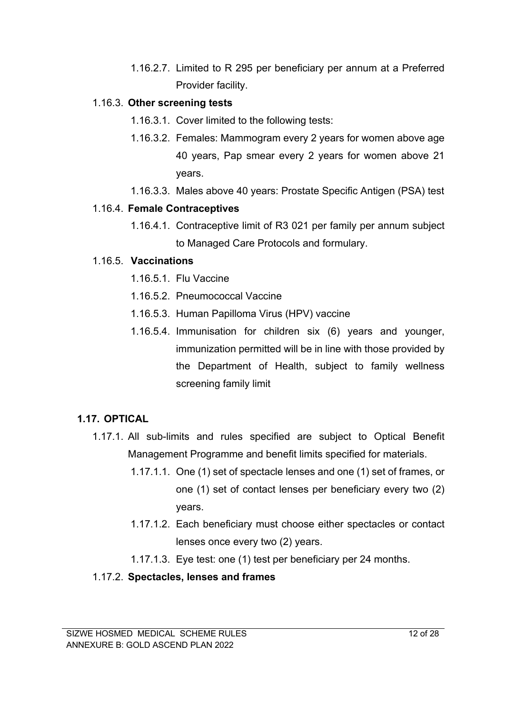1.16.2.7. Limited to R 295 per beneficiary per annum at a Preferred Provider facility.

#### 1.16.3. **Other screening tests**

- 1.16.3.1. Cover limited to the following tests:
- 1.16.3.2. Females: Mammogram every 2 years for women above age 40 years, Pap smear every 2 years for women above 21 years.
- 1.16.3.3. Males above 40 years: Prostate Specific Antigen (PSA) test

## 1.16.4. **Female Contraceptives**

1.16.4.1. Contraceptive limit of R3 021 per family per annum subject to Managed Care Protocols and formulary.

## 1.16.5. **Vaccinations**

- 1.16.5.1. Flu Vaccine
- 1.16.5.2. Pneumococcal Vaccine
- 1.16.5.3. Human Papilloma Virus (HPV) vaccine
- 1.16.5.4. Immunisation for children six (6) years and younger, immunization permitted will be in line with those provided by the Department of Health, subject to family wellness screening family limit

## **1.17. OPTICAL**

- 1.17.1. All sub-limits and rules specified are subject to Optical Benefit Management Programme and benefit limits specified for materials.
	- 1.17.1.1. One (1) set of spectacle lenses and one (1) set of frames, or one (1) set of contact lenses per beneficiary every two (2) years.
	- 1.17.1.2. Each beneficiary must choose either spectacles or contact lenses once every two (2) years.
	- 1.17.1.3. Eye test: one (1) test per beneficiary per 24 months.

## 1.17.2. **Spectacles, lenses and frames**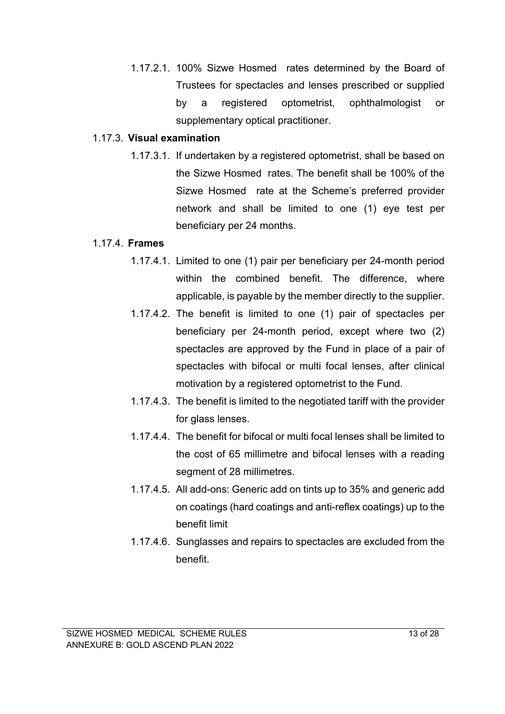1.17.2.1. 100% Sizwe Hosmed rates determined by the Board of Trustees for spectacles and lenses prescribed or supplied by a registered optometrist, ophthalmologist or supplementary optical practitioner.

#### 1.17.3. **Visual examination**

1.17.3.1. If undertaken by a registered optometrist, shall be based on the Sizwe Hosmed rates. The benefit shall be 100% of the Sizwe Hosmed rate at the Scheme's preferred provider network and shall be limited to one (1) eye test per beneficiary per 24 months.

#### 1.17.4. **Frames**

- 1.17.4.1. Limited to one (1) pair per beneficiary per 24-month period within the combined benefit. The difference, where applicable, is payable by the member directly to the supplier.
- 1.17.4.2. The benefit is limited to one (1) pair of spectacles per beneficiary per 24-month period, except where two (2) spectacles are approved by the Fund in place of a pair of spectacles with bifocal or multi focal lenses, after clinical motivation by a registered optometrist to the Fund.
- 1.17.4.3. The benefit is limited to the negotiated tariff with the provider for glass lenses.
- 1.17.4.4. The benefit for bifocal or multi focal lenses shall be limited to the cost of 65 millimetre and bifocal lenses with a reading segment of 28 millimetres.
- 1.17.4.5. All add-ons: Generic add on tints up to 35% and generic add on coatings (hard coatings and anti-reflex coatings) up to the benefit limit
- 1.17.4.6. Sunglasses and repairs to spectacles are excluded from the benefit.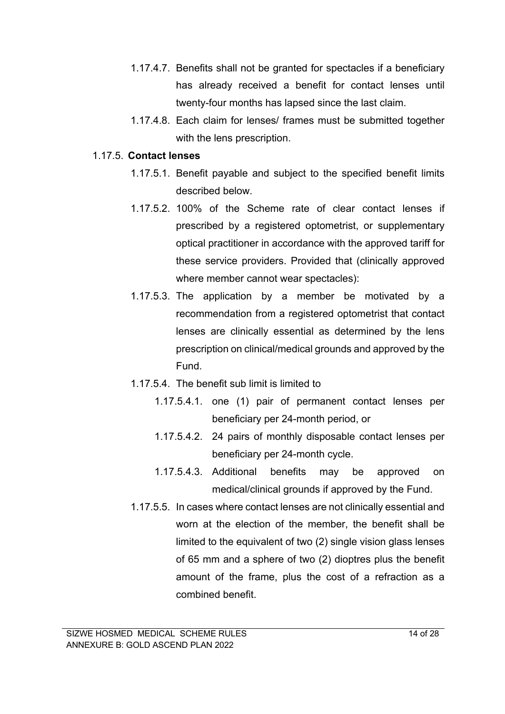- 1.17.4.7. Benefits shall not be granted for spectacles if a beneficiary has already received a benefit for contact lenses until twenty-four months has lapsed since the last claim.
- 1.17.4.8. Each claim for lenses/ frames must be submitted together with the lens prescription.

#### 1.17.5. **Contact lenses**

- 1.17.5.1. Benefit payable and subject to the specified benefit limits described below.
- 1.17.5.2. 100% of the Scheme rate of clear contact lenses if prescribed by a registered optometrist, or supplementary optical practitioner in accordance with the approved tariff for these service providers. Provided that (clinically approved where member cannot wear spectacles):
- 1.17.5.3. The application by a member be motivated by a recommendation from a registered optometrist that contact lenses are clinically essential as determined by the lens prescription on clinical/medical grounds and approved by the Fund.
- 1.17.5.4. The benefit sub limit is limited to
	- 1.17.5.4.1. one (1) pair of permanent contact lenses per beneficiary per 24-month period, or
	- 1.17.5.4.2. 24 pairs of monthly disposable contact lenses per beneficiary per 24-month cycle.
	- 1.17.5.4.3. Additional benefits may be approved on medical/clinical grounds if approved by the Fund.
- 1.17.5.5. In cases where contact lenses are not clinically essential and worn at the election of the member, the benefit shall be limited to the equivalent of two (2) single vision glass lenses of 65 mm and a sphere of two (2) dioptres plus the benefit amount of the frame, plus the cost of a refraction as a combined benefit.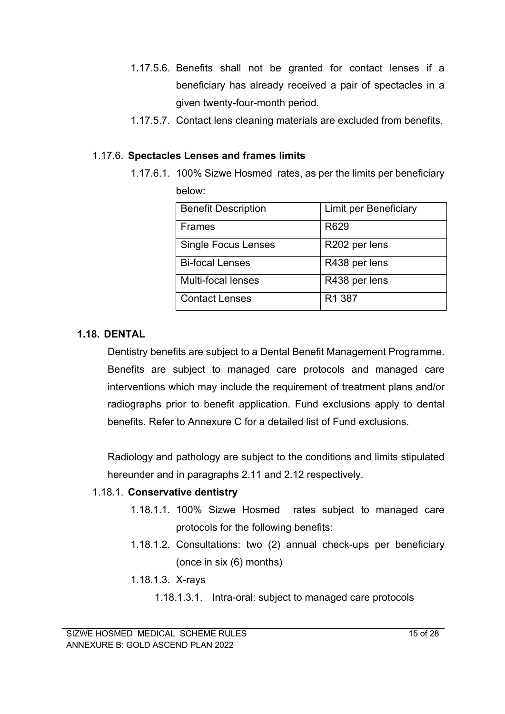- 1.17.5.6. Benefits shall not be granted for contact lenses if a beneficiary has already received a pair of spectacles in a given twenty-four-month period.
- 1.17.5.7. Contact lens cleaning materials are excluded from benefits.

#### 1.17.6. **Spectacles Lenses and frames limits**

1.17.6.1. 100% Sizwe Hosmed rates, as per the limits per beneficiary below:

| <b>Benefit Description</b> | Limit per Beneficiary |
|----------------------------|-----------------------|
| <b>Frames</b>              | R629                  |
| <b>Single Focus Lenses</b> | R202 per lens         |
| <b>Bi-focal Lenses</b>     | R438 per lens         |
| Multi-focal lenses         | R438 per lens         |
| <b>Contact Lenses</b>      | R <sub>1</sub> 387    |

#### **1.18. DENTAL**

Dentistry benefits are subject to a Dental Benefit Management Programme. Benefits are subject to managed care protocols and managed care interventions which may include the requirement of treatment plans and/or radiographs prior to benefit application. Fund exclusions apply to dental benefits. Refer to Annexure C for a detailed list of Fund exclusions.

Radiology and pathology are subject to the conditions and limits stipulated hereunder and in paragraphs 2.11 and 2.12 respectively.

#### 1.18.1. **Conservative dentistry**

- 1.18.1.1. 100% Sizwe Hosmed rates subject to managed care protocols for the following benefits:
- 1.18.1.2. Consultations: two (2) annual check-ups per beneficiary (once in six (6) months)
- 1.18.1.3. X-rays
	- 1.18.1.3.1. Intra-oral: subject to managed care protocols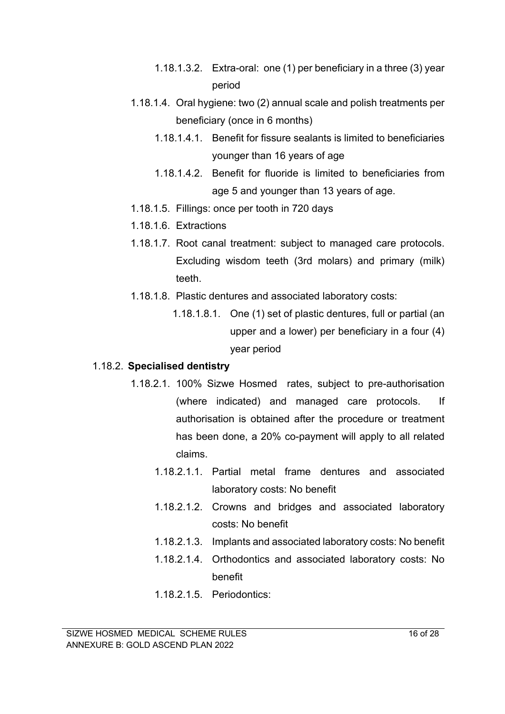- 1.18.1.3.2. Extra-oral: one (1) per beneficiary in a three (3) year period
- 1.18.1.4. Oral hygiene: two (2) annual scale and polish treatments per beneficiary (once in 6 months)
	- 1.18.1.4.1. Benefit for fissure sealants is limited to beneficiaries younger than 16 years of age
	- 1.18.1.4.2. Benefit for fluoride is limited to beneficiaries from age 5 and younger than 13 years of age.
- 1.18.1.5. Fillings: once per tooth in 720 days
- 1.18.1.6. Extractions
- 1.18.1.7. Root canal treatment: subject to managed care protocols. Excluding wisdom teeth (3rd molars) and primary (milk) teeth.
- 1.18.1.8. Plastic dentures and associated laboratory costs:
	- 1.18.1.8.1. One (1) set of plastic dentures, full or partial (an upper and a lower) per beneficiary in a four (4) year period

#### 1.18.2. **Specialised dentistry**

- 1.18.2.1. 100% Sizwe Hosmed rates, subject to pre-authorisation (where indicated) and managed care protocols. If authorisation is obtained after the procedure or treatment has been done, a 20% co-payment will apply to all related claims.
	- 1.18.2.1.1. Partial metal frame dentures and associated laboratory costs: No benefit
	- 1.18.2.1.2. Crowns and bridges and associated laboratory costs: No benefit
	- 1.18.2.1.3. Implants and associated laboratory costs: No benefit
	- 1.18.2.1.4. Orthodontics and associated laboratory costs: No benefit
	- 1.18.2.1.5. Periodontics: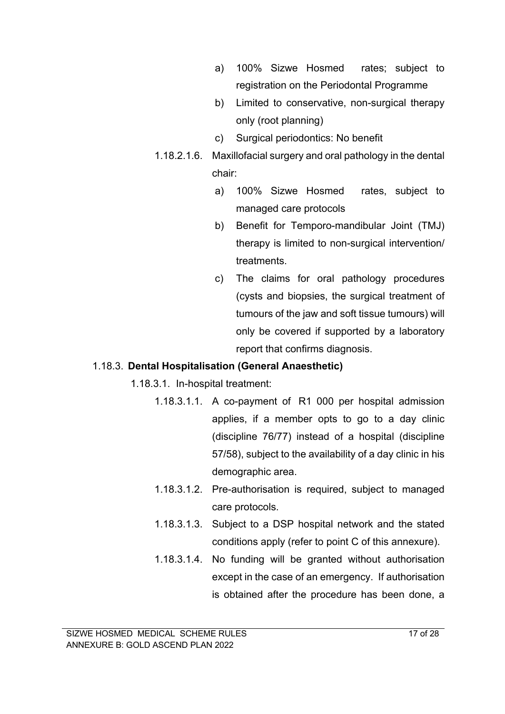- a) 100% Sizwe Hosmed rates; subject to registration on the Periodontal Programme
- b) Limited to conservative, non-surgical therapy only (root planning)
- c) Surgical periodontics: No benefit
- 1.18.2.1.6. Maxillofacial surgery and oral pathology in the dental chair:
	- a) 100% Sizwe Hosmed rates, subject to managed care protocols
	- b) Benefit for Temporo-mandibular Joint (TMJ) therapy is limited to non-surgical intervention/ treatments.
	- c) The claims for oral pathology procedures (cysts and biopsies, the surgical treatment of tumours of the jaw and soft tissue tumours) will only be covered if supported by a laboratory report that confirms diagnosis.

#### 1.18.3. **Dental Hospitalisation (General Anaesthetic)**

1.18.3.1. In-hospital treatment:

- 1.18.3.1.1. A co-payment of R1 000 per hospital admission applies, if a member opts to go to a day clinic (discipline 76/77) instead of a hospital (discipline 57/58), subject to the availability of a day clinic in his demographic area.
- 1.18.3.1.2. Pre-authorisation is required, subject to managed care protocols.
- 1.18.3.1.3. Subject to a DSP hospital network and the stated conditions apply (refer to point C of this annexure).
- 1.18.3.1.4. No funding will be granted without authorisation except in the case of an emergency. If authorisation is obtained after the procedure has been done, a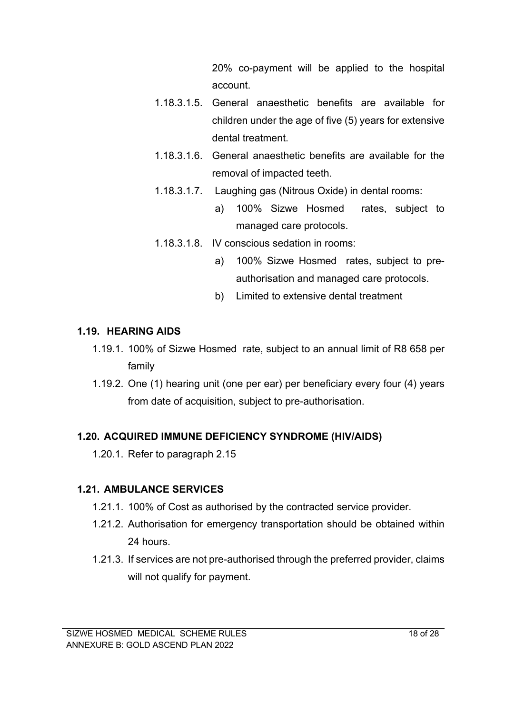20% co-payment will be applied to the hospital account.

- 1.18.3.1.5. General anaesthetic benefits are available for children under the age of five (5) years for extensive dental treatment.
- 1.18.3.1.6. General anaesthetic benefits are available for the removal of impacted teeth.
- 1.18.3.1.7. Laughing gas (Nitrous Oxide) in dental rooms:
	- a) 100% Sizwe Hosmed rates, subject to managed care protocols.
- 1.18.3.1.8. IV conscious sedation in rooms:
	- a) 100% Sizwe Hosmed rates, subject to preauthorisation and managed care protocols.
	- b) Limited to extensive dental treatment

## **1.19. HEARING AIDS**

- 1.19.1. 100% of Sizwe Hosmed rate, subject to an annual limit of R8 658 per family
- 1.19.2. One (1) hearing unit (one per ear) per beneficiary every four (4) years from date of acquisition, subject to pre-authorisation.

## **1.20. ACQUIRED IMMUNE DEFICIENCY SYNDROME (HIV/AIDS)**

1.20.1. Refer to paragraph 2.15

## **1.21. AMBULANCE SERVICES**

- 1.21.1. 100% of Cost as authorised by the contracted service provider.
- 1.21.2. Authorisation for emergency transportation should be obtained within 24 hours.
- 1.21.3. If services are not pre-authorised through the preferred provider, claims will not qualify for payment.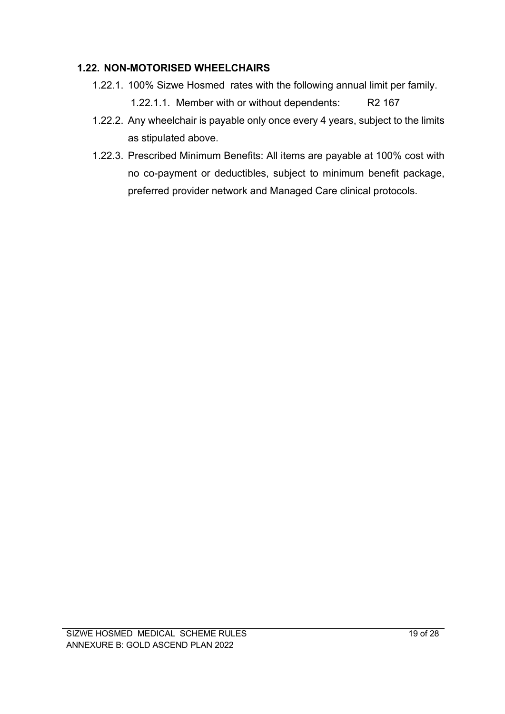#### **1.22. NON-MOTORISED WHEELCHAIRS**

- 1.22.1. 100% Sizwe Hosmed rates with the following annual limit per family. 1.22.1.1. Member with or without dependents: R2 167
- 1.22.2. Any wheelchair is payable only once every 4 years, subject to the limits as stipulated above.
- 1.22.3. Prescribed Minimum Benefits: All items are payable at 100% cost with no co-payment or deductibles, subject to minimum benefit package, preferred provider network and Managed Care clinical protocols.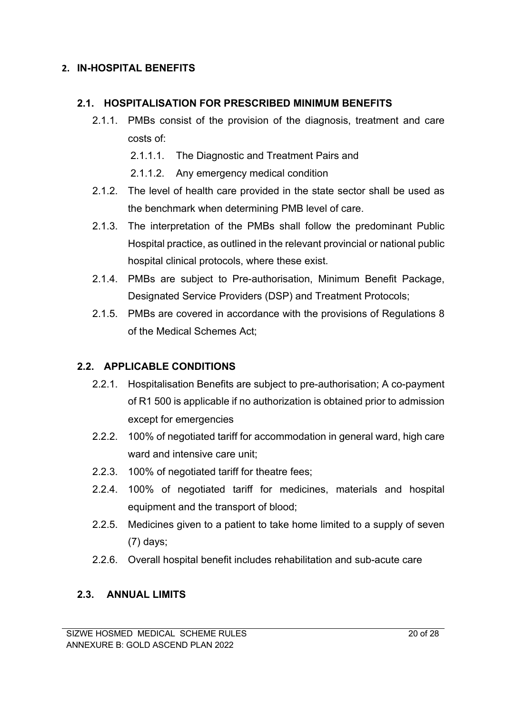## **2. IN-HOSPITAL BENEFITS**

#### **2.1. HOSPITALISATION FOR PRESCRIBED MINIMUM BENEFITS**

- 2.1.1. PMBs consist of the provision of the diagnosis, treatment and care costs of:
	- 2.1.1.1. The Diagnostic and Treatment Pairs and
	- 2.1.1.2. Any emergency medical condition
- 2.1.2. The level of health care provided in the state sector shall be used as the benchmark when determining PMB level of care.
- 2.1.3. The interpretation of the PMBs shall follow the predominant Public Hospital practice, as outlined in the relevant provincial or national public hospital clinical protocols, where these exist.
- 2.1.4. PMBs are subject to Pre-authorisation, Minimum Benefit Package, Designated Service Providers (DSP) and Treatment Protocols;
- 2.1.5. PMBs are covered in accordance with the provisions of Regulations 8 of the Medical Schemes Act;

## **2.2. APPLICABLE CONDITIONS**

- 2.2.1. Hospitalisation Benefits are subject to pre-authorisation; A co-payment of R1 500 is applicable if no authorization is obtained prior to admission except for emergencies
- 2.2.2. 100% of negotiated tariff for accommodation in general ward, high care ward and intensive care unit;
- 2.2.3. 100% of negotiated tariff for theatre fees;
- 2.2.4. 100% of negotiated tariff for medicines, materials and hospital equipment and the transport of blood;
- 2.2.5. Medicines given to a patient to take home limited to a supply of seven (7) days;
- 2.2.6. Overall hospital benefit includes rehabilitation and sub-acute care

## **2.3. ANNUAL LIMITS**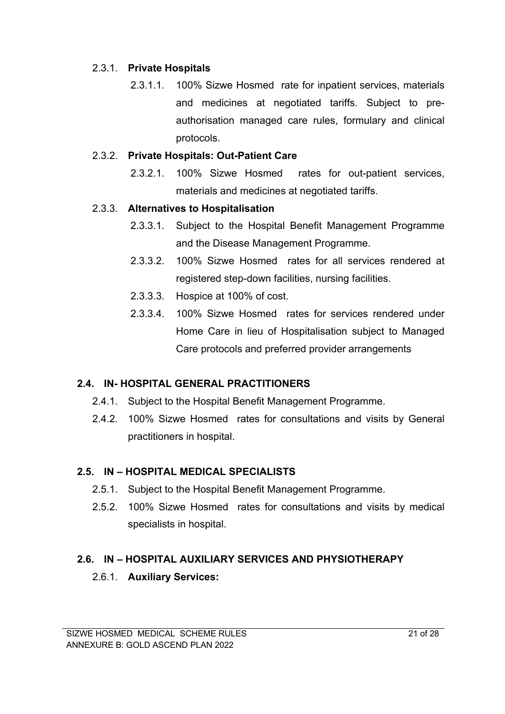#### 2.3.1. **Private Hospitals**

2.3.1.1. 100% Sizwe Hosmed rate for inpatient services, materials and medicines at negotiated tariffs. Subject to preauthorisation managed care rules, formulary and clinical protocols.

#### 2.3.2. **Private Hospitals: Out-Patient Care**

2.3.2.1. 100% Sizwe Hosmed rates for out-patient services, materials and medicines at negotiated tariffs.

#### 2.3.3. **Alternatives to Hospitalisation**

- 2.3.3.1. Subject to the Hospital Benefit Management Programme and the Disease Management Programme.
- 2.3.3.2. 100% Sizwe Hosmed rates for all services rendered at registered step-down facilities, nursing facilities.
- 2.3.3.3. Hospice at 100% of cost.
- 2.3.3.4. 100% Sizwe Hosmed rates for services rendered under Home Care in lieu of Hospitalisation subject to Managed Care protocols and preferred provider arrangements

#### **2.4. IN- HOSPITAL GENERAL PRACTITIONERS**

- 2.4.1. Subject to the Hospital Benefit Management Programme.
- 2.4.2. 100% Sizwe Hosmed rates for consultations and visits by General practitioners in hospital.

#### **2.5. IN – HOSPITAL MEDICAL SPECIALISTS**

- 2.5.1. Subject to the Hospital Benefit Management Programme.
- 2.5.2. 100% Sizwe Hosmed rates for consultations and visits by medical specialists in hospital.

#### **2.6. IN – HOSPITAL AUXILIARY SERVICES AND PHYSIOTHERAPY**

2.6.1. **Auxiliary Services:**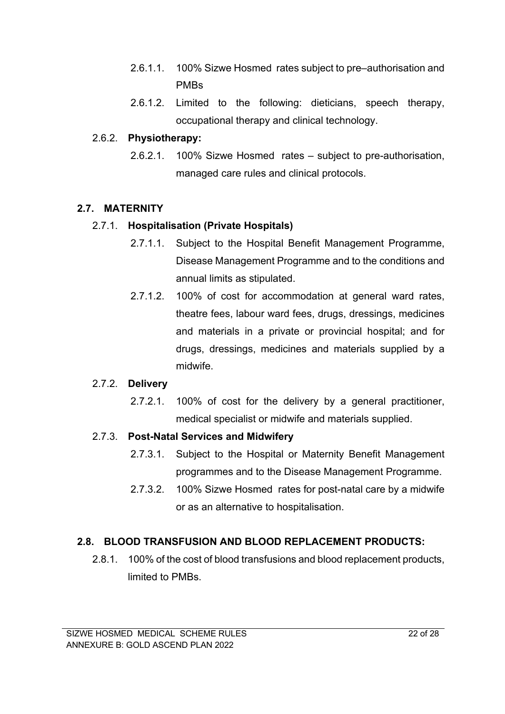- 2.6.1.1. 100% Sizwe Hosmed rates subject to pre–authorisation and PMBs
- 2.6.1.2. Limited to the following: dieticians, speech therapy, occupational therapy and clinical technology.

#### 2.6.2. **Physiotherapy:**

2.6.2.1. 100% Sizwe Hosmed rates – subject to pre-authorisation, managed care rules and clinical protocols.

#### **2.7. MATERNITY**

#### 2.7.1. **Hospitalisation (Private Hospitals)**

- 2.7.1.1. Subject to the Hospital Benefit Management Programme, Disease Management Programme and to the conditions and annual limits as stipulated.
- 2.7.1.2. 100% of cost for accommodation at general ward rates, theatre fees, labour ward fees, drugs, dressings, medicines and materials in a private or provincial hospital; and for drugs, dressings, medicines and materials supplied by a midwife.

#### 2.7.2. **Delivery**

2.7.2.1. 100% of cost for the delivery by a general practitioner, medical specialist or midwife and materials supplied.

#### 2.7.3. **Post-Natal Services and Midwifery**

- 2.7.3.1. Subject to the Hospital or Maternity Benefit Management programmes and to the Disease Management Programme.
- 2.7.3.2. 100% Sizwe Hosmed rates for post-natal care by a midwife or as an alternative to hospitalisation.

## **2.8. BLOOD TRANSFUSION AND BLOOD REPLACEMENT PRODUCTS:**

2.8.1. 100% of the cost of blood transfusions and blood replacement products, limited to PMBs.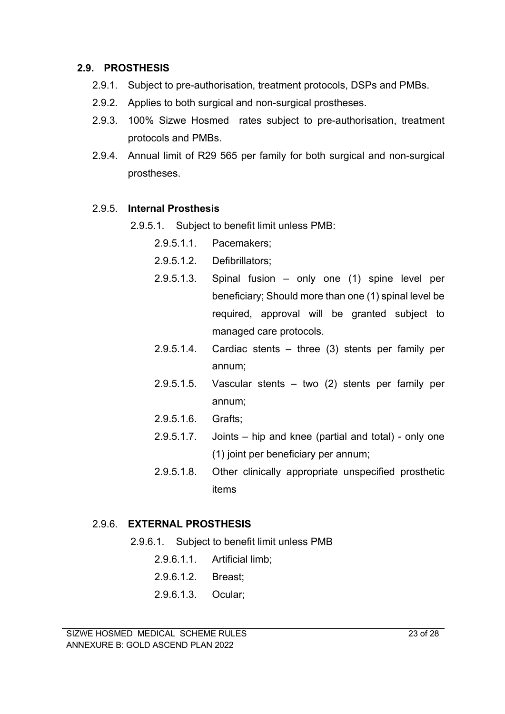#### **2.9. PROSTHESIS**

- 2.9.1. Subject to pre-authorisation, treatment protocols, DSPs and PMBs.
- 2.9.2. Applies to both surgical and non-surgical prostheses.
- 2.9.3. 100% Sizwe Hosmed rates subject to pre-authorisation, treatment protocols and PMBs.
- 2.9.4. Annual limit of R29 565 per family for both surgical and non-surgical prostheses.

#### 2.9.5. **Internal Prosthesis**

- 2.9.5.1. Subject to benefit limit unless PMB:
	- 2.9.5.1.1. Pacemakers;
	- 2.9.5.1.2. Defibrillators;
	- 2.9.5.1.3. Spinal fusion only one (1) spine level per beneficiary; Should more than one (1) spinal level be required, approval will be granted subject to managed care protocols.
	- 2.9.5.1.4. Cardiac stents three (3) stents per family per annum;
	- 2.9.5.1.5. Vascular stents two (2) stents per family per annum;
	- 2.9.5.1.6. Grafts;
	- 2.9.5.1.7. Joints hip and knee (partial and total) only one (1) joint per beneficiary per annum;
	- 2.9.5.1.8. Other clinically appropriate unspecified prosthetic items

#### 2.9.6. **EXTERNAL PROSTHESIS**

- 2.9.6.1. Subject to benefit limit unless PMB
	- 2.9.6.1.1. Artificial limb;
	- 2.9.6.1.2. Breast;
	- 2.9.6.1.3. Ocular;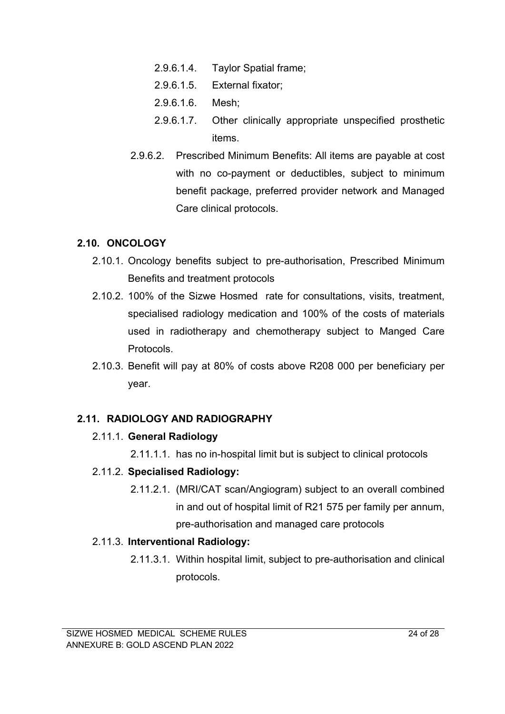- 2.9.6.1.4. Taylor Spatial frame;
- 2.9.6.1.5. External fixator;
- 2.9.6.1.6. Mesh;
- 2.9.6.1.7. Other clinically appropriate unspecified prosthetic items.
- 2.9.6.2. Prescribed Minimum Benefits: All items are payable at cost with no co-payment or deductibles, subject to minimum benefit package, preferred provider network and Managed Care clinical protocols.

## **2.10. ONCOLOGY**

- 2.10.1. Oncology benefits subject to pre-authorisation, Prescribed Minimum Benefits and treatment protocols
- 2.10.2. 100% of the Sizwe Hosmed rate for consultations, visits, treatment, specialised radiology medication and 100% of the costs of materials used in radiotherapy and chemotherapy subject to Manged Care Protocols.
- 2.10.3. Benefit will pay at 80% of costs above R208 000 per beneficiary per year.

## **2.11. RADIOLOGY AND RADIOGRAPHY**

#### 2.11.1. **General Radiology**

2.11.1.1. has no in-hospital limit but is subject to clinical protocols

## 2.11.2. **Specialised Radiology:**

2.11.2.1. (MRI/CAT scan/Angiogram) subject to an overall combined in and out of hospital limit of R21 575 per family per annum, pre-authorisation and managed care protocols

#### 2.11.3. **Interventional Radiology:**

2.11.3.1. Within hospital limit, subject to pre-authorisation and clinical protocols.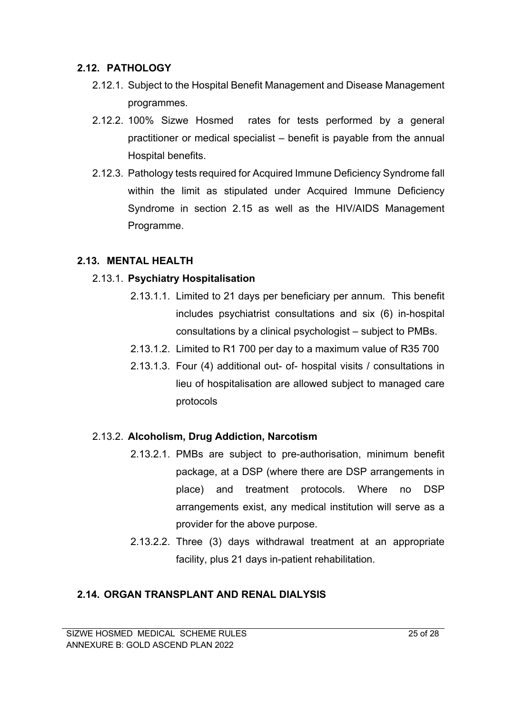## **2.12. PATHOLOGY**

- 2.12.1. Subject to the Hospital Benefit Management and Disease Management programmes.
- 2.12.2. 100% Sizwe Hosmed rates for tests performed by a general practitioner or medical specialist – benefit is payable from the annual Hospital benefits.
- 2.12.3. Pathology tests required for Acquired Immune Deficiency Syndrome fall within the limit as stipulated under Acquired Immune Deficiency Syndrome in section 2.15 as well as the HIV/AIDS Management Programme.

## **2.13. MENTAL HEALTH**

## 2.13.1. **Psychiatry Hospitalisation**

- 2.13.1.1. Limited to 21 days per beneficiary per annum. This benefit includes psychiatrist consultations and six (6) in-hospital consultations by a clinical psychologist – subject to PMBs.
- 2.13.1.2. Limited to R1 700 per day to a maximum value of R35 700
- 2.13.1.3. Four (4) additional out- of- hospital visits / consultations in lieu of hospitalisation are allowed subject to managed care protocols

#### 2.13.2. **Alcoholism, Drug Addiction, Narcotism**

- 2.13.2.1. PMBs are subject to pre-authorisation, minimum benefit package, at a DSP (where there are DSP arrangements in place) and treatment protocols. Where no DSP arrangements exist, any medical institution will serve as a provider for the above purpose.
- 2.13.2.2. Three (3) days withdrawal treatment at an appropriate facility, plus 21 days in-patient rehabilitation.

## **2.14. ORGAN TRANSPLANT AND RENAL DIALYSIS**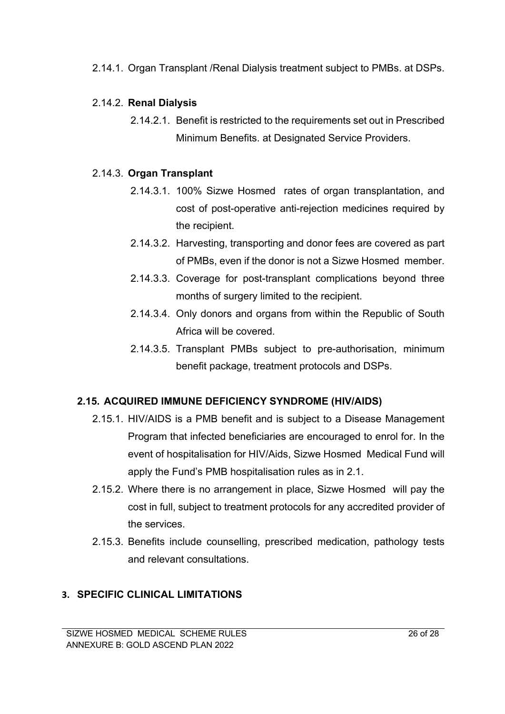2.14.1. Organ Transplant /Renal Dialysis treatment subject to PMBs. at DSPs.

## 2.14.2. **Renal Dialysis**

2.14.2.1. Benefit is restricted to the requirements set out in Prescribed Minimum Benefits. at Designated Service Providers.

## 2.14.3. **Organ Transplant**

- 2.14.3.1. 100% Sizwe Hosmed rates of organ transplantation, and cost of post-operative anti-rejection medicines required by the recipient.
- 2.14.3.2. Harvesting, transporting and donor fees are covered as part of PMBs, even if the donor is not a Sizwe Hosmed member.
- 2.14.3.3. Coverage for post-transplant complications beyond three months of surgery limited to the recipient.
- 2.14.3.4. Only donors and organs from within the Republic of South Africa will be covered.
- 2.14.3.5. Transplant PMBs subject to pre-authorisation, minimum benefit package, treatment protocols and DSPs.

## **2.15. ACQUIRED IMMUNE DEFICIENCY SYNDROME (HIV/AIDS)**

- 2.15.1. HIV/AIDS is a PMB benefit and is subject to a Disease Management Program that infected beneficiaries are encouraged to enrol for. In the event of hospitalisation for HIV/Aids, Sizwe Hosmed Medical Fund will apply the Fund's PMB hospitalisation rules as in 2.1.
- 2.15.2. Where there is no arrangement in place, Sizwe Hosmed will pay the cost in full, subject to treatment protocols for any accredited provider of the services.
- 2.15.3. Benefits include counselling, prescribed medication, pathology tests and relevant consultations.

## **3. SPECIFIC CLINICAL LIMITATIONS**